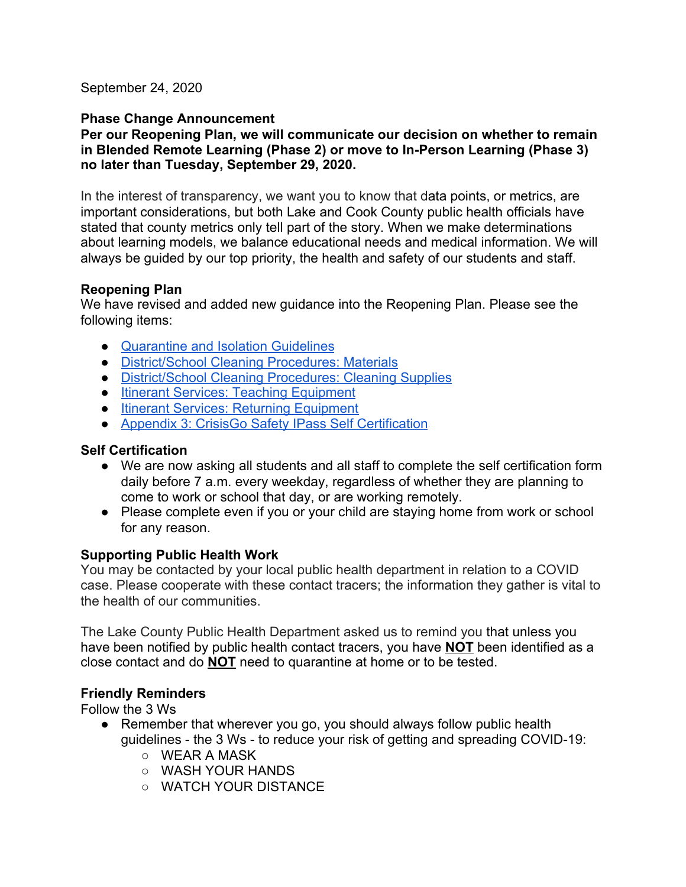September 24, 2020

#### **Phase Change Announcement**

#### **Per our Reopening Plan, we will communicate our decision on whether to remain in Blended Remote Learning (Phase 2) or move to In-Person Learning (Phase 3) no later than Tuesday, September 29, 2020.**

In the interest of transparency, we want you to know that data points, or metrics, are important considerations, but both Lake and Cook County public health officials have stated that county metrics only tell part of the story. When we make determinations about learning models, we balance educational needs and medical information. We will always be guided by our top priority, the health and safety of our students and staff.

#### **Reopening Plan**

We have revised and added new guidance into the Reopening Plan. Please see the following items:

- [Quarantine and Isolation Guidelines](https://docs.google.com/document/d/1fSOHV3Ld9J0ByBo7kV4N7W9WHFpFBQBibNOo2wILNcw/edit#heading=h.avqrpbkr38dt)
- [District/School Cleaning Procedures: Materials](https://docs.google.com/document/d/1fSOHV3Ld9J0ByBo7kV4N7W9WHFpFBQBibNOo2wILNcw/edit#heading=h.7gx63s7w8hp)
- [District/School Cleaning Procedures: Cleaning Supplies](https://docs.google.com/document/d/1fSOHV3Ld9J0ByBo7kV4N7W9WHFpFBQBibNOo2wILNcw/edit#heading=h.9d4ay82pbuna)
- [Itinerant Services: Teaching Equipment](https://docs.google.com/document/d/1fSOHV3Ld9J0ByBo7kV4N7W9WHFpFBQBibNOo2wILNcw/edit#heading=h.57dmb96k92t3)
- [Itinerant Services: Returning Equipment](https://docs.google.com/document/d/1fSOHV3Ld9J0ByBo7kV4N7W9WHFpFBQBibNOo2wILNcw/edit#heading=h.57dmb96k92t3)
- [Appendix 3: CrisisGo Safety IPass Self Certification](https://docs.google.com/document/d/1fSOHV3Ld9J0ByBo7kV4N7W9WHFpFBQBibNOo2wILNcw/edit#heading=h.1z7uigcjhpbw)

### **Self Certification**

- We are now asking all students and all staff to complete the self certification form daily before 7 a.m. every weekday, regardless of whether they are planning to come to work or school that day, or are working remotely.
- Please complete even if you or your child are staying home from work or school for any reason.

# **Supporting Public Health Work**

You may be contacted by your local public health department in relation to a COVID case. Please cooperate with these contact tracers; the information they gather is vital to the health of our communities.

The Lake County Public Health Department asked us to remind you that unless you have been notified by public health contact tracers, you have **NOT** been identified as a close contact and do **NOT** need to quarantine at home or to be tested.

# **Friendly Reminders**

Follow the 3 Ws

- Remember that wherever you go, you should always follow public health guidelines - the 3 Ws - to reduce your risk of getting and spreading COVID-19:
	- WEAR A MASK
	- WASH YOUR HANDS
	- WATCH YOUR DISTANCE